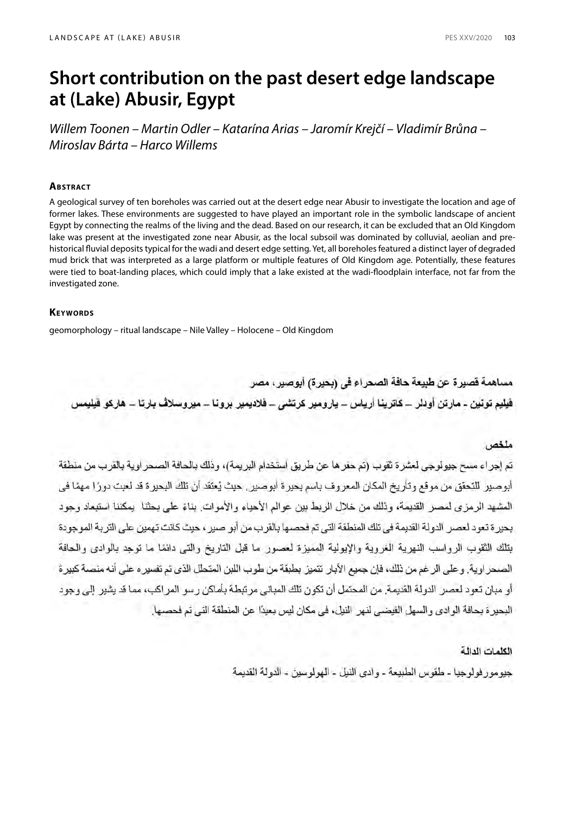# **Short contribution on the past desert edge landscape at (Lake) Abusir, Egypt**

*Willem Toonen – Martin Odler – Katarína Arias – Jaromír Krejčí – Vladimír Brůna – Miroslav Bárta – Harco Willems*

# **Abstract**

A geological survey of ten boreholes was carried out at the desert edge near Abusir to investigate the location and age of former lakes. These environments are suggested to have played an important role in the symbolic landscape of ancient Egypt by connecting the realms of the living and the dead. Based on our research, it can be excluded that an Old Kingdom lake was present at the investigated zone near Abusir, as the local subsoil was dominated by colluvial, aeolian and prehistorical fluvial deposits typical for the wadi and desert edge setting. Yet, all boreholes featured a distinct layer of degraded mud brick that was interpreted as a large platform or multiple features of Old Kingdom age. Potentially, these features were tied to boat-landing places, which could imply that a lake existed at the wadi-floodplain interface, not far from the investigated zone.

# **KEYWORDS**

geomorphology – ritual landscape – Nile Valley – Holocene – Old Kingdom

مساهمة قصير ة عن طبيعة حافة الصحر اع في (بحير ة) أبوصير ، مصر فیلیم تونین ۔ مارنن اودلر ۔ کاترینا اُریاس ۔ پارومیر کرتشی ۔ فلادیمیر برونا ۔ میروسلاف بارتا ۔ ھارکو فیلیمس

# ملخص

تم إجر اء مسح جيولو جي لعشر ة ثقوب (تم حفر ها عن طر يق استخدام البر يمة)، وذلك بالحافة الصحر او ية بالقر ب من منطقة أبو صير اللتحقق من موقع وتأريخ المكان المعروف باسم بحير ة أبو صير . حيث يُعتقد أن تلك البحير ة قد لعبت دورًا مهمًا في المشهد الرمزي لمصر القديمة، وذلك من خلال الربط بين عوالم الأحياء والأموات. بناءً على بحثنا يمكننا استبعاد وجود بحير ة تعود لعصر الدولة القديمة في تلك المنطقة التي تم فحصـها بالقرب من أبو صير ، حيث كانت تهمين على التربة الموجودة بتلك الثقوب الرواسب النهرية الغروية والإبولية المميزة لعصور ما قبل التاريخ والتي دائمًا ما توجد بالوادي والحافة الصحر اوية. و على الر غم من ذلك، فإن جميع الآبار تتميز بطبقة من طوب اللبن المتحلل الذي تم تفسير ء على أنه منصبة كبير ة أو مبان تعود لعصر الدولة القديمة. من المحتمل أن تكون تلك المباني مر تبطة بأماكن ر سو المر اكب، مما قد يشير الى وجود البحير ة بحافة الو ادى و السهل الفيضي لنهر النيل، في مكان ليس بعيدًا عن المنطقة التي تم فحصبها.

# الكلمات الدالة

جيومور فولوجيا - طقوس الطبيعة - وادى النيل - الهولوسين - الدولة القديمة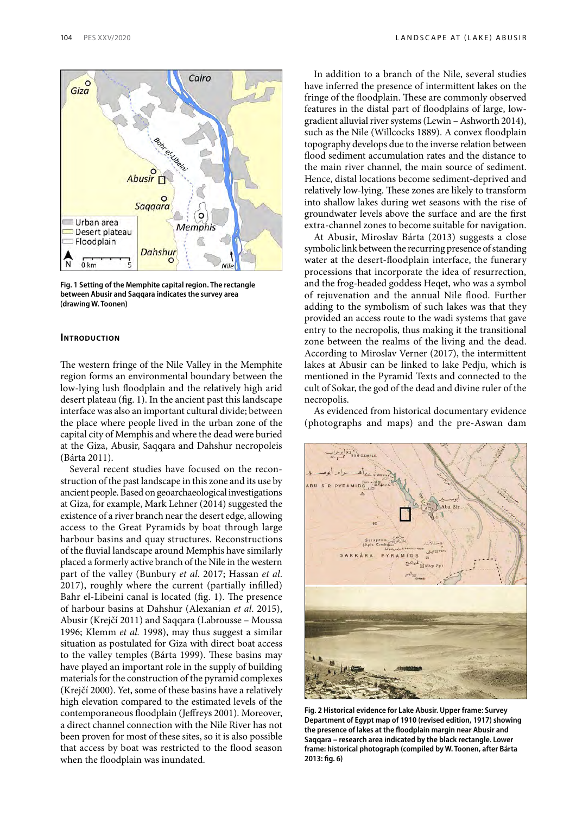

**Fig. 1 Setting of the Memphite capital region. The rectangle between Abusir and Saqqara indicates the survey area (drawing W. Toonen)**

### **INTRODUCTION**

The western fringe of the Nile Valley in the Memphite region forms an environmental boundary between the low-lying lush floodplain and the relatively high arid desert plateau (fig. 1). In the ancient past this landscape interface was also an important cultural divide; between the place where people lived in the urban zone of the capital city of Memphis and where the dead were buried at the Giza, Abusir, Saqqara and Dahshur necropoleis (Bárta 2011).

Several recent studies have focused on the reconstruction of the past landscape in this zone and its use by ancient people. Based on geoarchaeological investigations at Giza, for example, Mark Lehner (2014) suggested the existence of a river branch near the desert edge, allowing access to the Great Pyramids by boat through large harbour basins and quay structures. Reconstructions of the fluvial landscape around Memphis have similarly placed a formerly active branch of the Nile in the western part of the valley (Bunbury *et al*. 2017; Hassan *et al*. 2017), roughly where the current (partially infilled) Bahr el-Libeini canal is located (fig. 1). The presence of harbour basins at Dahshur (Alexanian *et al*. 2015), Abusir (Krejčí 2011) and Saqqara (Labrousse – Moussa 1996; Klemm *et al.* 1998), may thus suggest a similar situation as postulated for Giza with direct boat access to the valley temples (Bárta 1999). These basins may have played an important role in the supply of building materials for the construction of the pyramid complexes (Krejčí 2000). Yet, some of these basins have a relatively high elevation compared to the estimated levels of the contemporaneous floodplain (Jeffreys 2001). Moreover, a direct channel connection with the Nile River has not been proven for most of these sites, so it is also possible that access by boat was restricted to the flood season when the floodplain was inundated.

104 PES XXV/2020 LANDSCAPE AT (LAKE) ABUSIR

In addition to a branch of the Nile, several studies have inferred the presence of intermittent lakes on the fringe of the floodplain. These are commonly observed features in the distal part of floodplains of large, lowgradient alluvial river systems (Lewin – Ashworth 2014), such as the Nile (Willcocks 1889). A convex floodplain topography develops due to the inverse relation between flood sediment accumulation rates and the distance to the main river channel, the main source of sediment. Hence, distal locations become sediment-deprived and relatively low-lying. These zones are likely to transform into shallow lakes during wet seasons with the rise of groundwater levels above the surface and are the first extra-channel zones to become suitable for navigation.

At Abusir, Miroslav Bárta (2013) suggests a close symbolic link between the recurring presence of standing water at the desert-floodplain interface, the funerary processions that incorporate the idea of resurrection, and the frog-headed goddess Heqet, who was a symbol of rejuvenation and the annual Nile flood. Further adding to the symbolism of such lakes was that they provided an access route to the wadi systems that gave entry to the necropolis, thus making it the transitional zone between the realms of the living and the dead. According to Miroslav Verner (2017), the intermittent lakes at Abusir can be linked to lake Pedju, which is mentioned in the Pyramid Texts and connected to the cult of Sokar, the god of the dead and divine ruler of the necropolis.

As evidenced from historical documentary evidence (photographs and maps) and the pre-Aswan dam



**Fig. 2 Historical evidence for Lake Abusir. Upper frame: Survey Department of Egypt map of 1910 (revised edition, 1917) showing the presence of lakes at the floodplain margin near Abusir and Saqqara – research area indicated by the black rectangle. Lower frame: historical photograph (compiled by W. Toonen, after Bárta 2013: fig. 6)**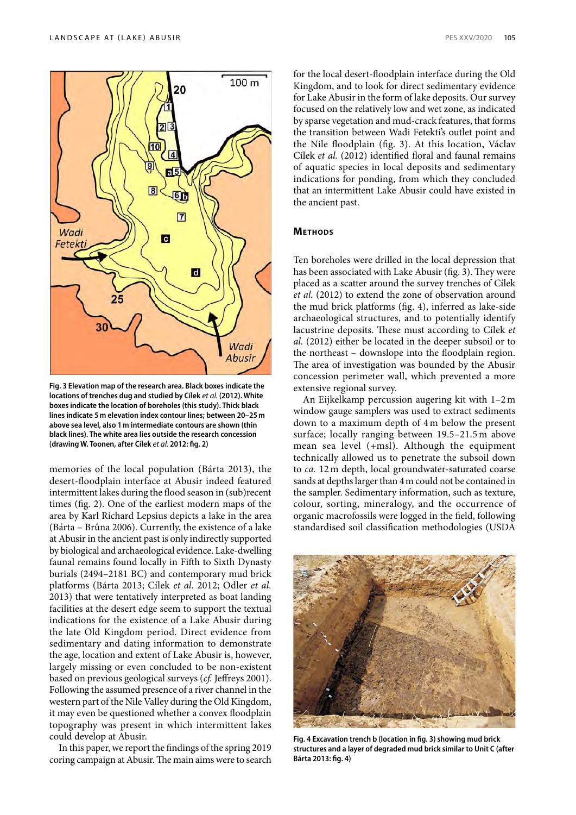



**Fig. 3 Elevation map of the research area. Black boxes indicate the locations of trenches dug and studied by Cílek** *et al.* **(2012). White boxes indicate the location of boreholes (this study). Thick black lines indicate 5m elevation index contour lines; between 20–25m above sea level, also 1m intermediate contours are shown (thin black lines). The white area lies outside the research concession (drawing W. Toonen, after Cílek** *et al.* **2012: fig. 2)**

memories of the local population (Bárta 2013), the desert-floodplain interface at Abusir indeed featured intermittent lakes during the flood season in (sub)recent times (fig. 2). One of the earliest modern maps of the area by Karl Richard Lepsius depicts a lake in the area (Bárta – Brůna 2006). Currently, the existence of a lake at Abusir in the ancient past is only indirectly supported by biological and archaeological evidence. Lake-dwelling faunal remains found locally in Fifth to Sixth Dynasty burials (2494–2181 BC) and contemporary mud brick platforms (Bárta 2013; Cílek *et al.* 2012; Odler *et al.*  2013) that were tentatively interpreted as boat landing facilities at the desert edge seem to support the textual indications for the existence of a Lake Abusir during the late Old Kingdom period. Direct evidence from sedimentary and dating information to demonstrate the age, location and extent of Lake Abusir is, however, largely missing or even concluded to be non-existent based on previous geological surveys (*cf.* Jeffreys 2001). Following the assumed presence of a river channel in the western part of the Nile Valley during the Old Kingdom, it may even be questioned whether a convex floodplain topography was present in which intermittent lakes could develop at Abusir.

In this paper, we report the findings of the spring 2019 coring campaign at Abusir. The main aims were to search

for the local desert-floodplain interface during the Old Kingdom, and to look for direct sedimentary evidence for Lake Abusir in the form of lake deposits. Our survey focused on the relatively low and wet zone, as indicated by sparse vegetation and mud-crack features, that forms the transition between Wadi Fetekti's outlet point and the Nile floodplain (fig. 3). At this location, Václav Cílek *et al.* (2012) identified floral and faunal remains of aquatic species in local deposits and sedimentary indications for ponding, from which they concluded that an intermittent Lake Abusir could have existed in the ancient past.

### **Methods**

Ten boreholes were drilled in the local depression that has been associated with Lake Abusir (fig. 3). They were placed as a scatter around the survey trenches of Cílek *et al.* (2012) to extend the zone of observation around the mud brick platforms (fig. 4), inferred as lake-side archaeological structures, and to potentially identify lacustrine deposits. These must according to Cílek *et al.* (2012) either be located in the deeper subsoil or to the northeast – downslope into the floodplain region. The area of investigation was bounded by the Abusir concession perimeter wall, which prevented a more extensive regional survey.

An Eijkelkamp percussion augering kit with 1–2 m window gauge samplers was used to extract sediments down to a maximum depth of 4m below the present surface; locally ranging between 19.5–21.5 m above mean sea level (+msl). Although the equipment technically allowed us to penetrate the subsoil down to *ca.* 12m depth, local groundwater-saturated coarse sands at depths larger than 4m could not be contained in the sampler. Sedimentary information, such as texture, colour, sorting, mineralogy, and the occurrence of organic macrofossils were logged in the field, following standardised soil classification methodologies (USDA



**Fig. 4 Excavation trench b (location in fig. 3) showing mud brick structures and a layer of degraded mud brick similar to Unit C (after Bárta 2013: fig. 4)**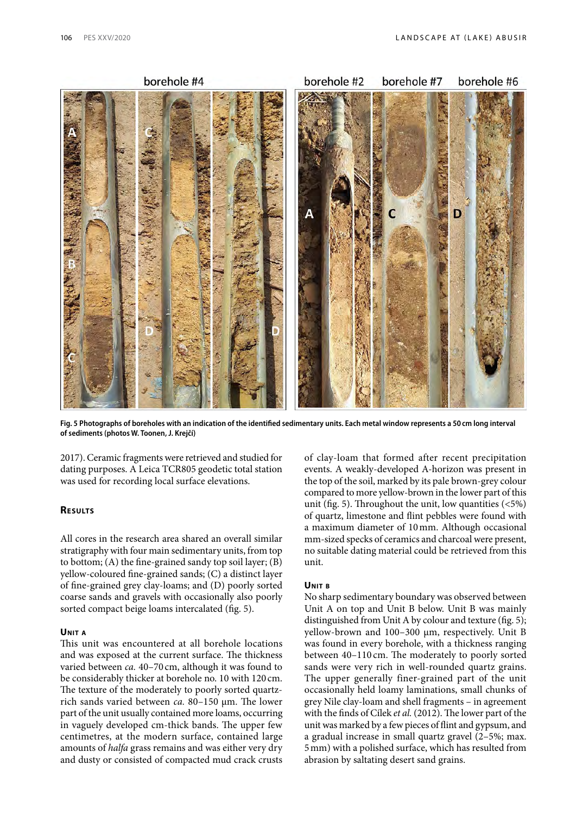

**Fig. 5 Photographs of boreholes with an indication of the identified sedimentary units. Each metal window represents a 50cm long interval of sediments (photos W. Toonen, J. Krejčí)**

2017). Ceramic fragments were retrieved and studied for dating purposes. A Leica TCR805 geodetic total station was used for recording local surface elevations.

## **Results**

All cores in the research area shared an overall similar stratigraphy with four main sedimentary units, from top to bottom; (A) the fine-grained sandy top soil layer; (B) yellow-coloured fine-grained sands; (C) a distinct layer of fine-grained grey clay-loams; and (D) poorly sorted coarse sands and gravels with occasionally also poorly sorted compact beige loams intercalated (fig. 5).

# **Unit <sup>a</sup>**

This unit was encountered at all borehole locations and was exposed at the current surface. The thickness varied between *ca.* 40–70 cm, although it was found to be considerably thicker at borehole no. 10 with 120 cm. The texture of the moderately to poorly sorted quartzrich sands varied between *ca.* 80–150 μm. The lower part of the unit usually contained more loams, occurring in vaguely developed cm-thick bands. The upper few centimetres, at the modern surface, contained large amounts of *halfa* grass remains and was either very dry and dusty or consisted of compacted mud crack crusts

of clay-loam that formed after recent precipitation events. A weakly-developed A-horizon was present in the top of the soil, marked by its pale brown-grey colour compared to more yellow-brown in the lower part of this unit (fig. 5). Throughout the unit, low quantities  $(5\%)$ of quartz, limestone and flint pebbles were found with a maximum diameter of 10mm. Although occasional mm-sized specks of ceramics and charcoal were present, no suitable dating material could be retrieved from this unit.

#### **Unit <sup>b</sup>**

No sharp sedimentary boundary was observed between Unit A on top and Unit B below. Unit B was mainly distinguished from Unit A by colour and texture (fig. 5); yellow-brown and 100–300 μm, respectively. Unit B was found in every borehole, with a thickness ranging between 40–110 cm. The moderately to poorly sorted sands were very rich in well-rounded quartz grains. The upper generally finer-grained part of the unit occasionally held loamy laminations, small chunks of grey Nile clay-loam and shell fragments – in agreement with the finds of Cílek *et al.* (2012). The lower part of the unit was marked by a few pieces of flint and gypsum, and a gradual increase in small quartz gravel (2–5%; max. 5mm) with a polished surface, which has resulted from abrasion by saltating desert sand grains.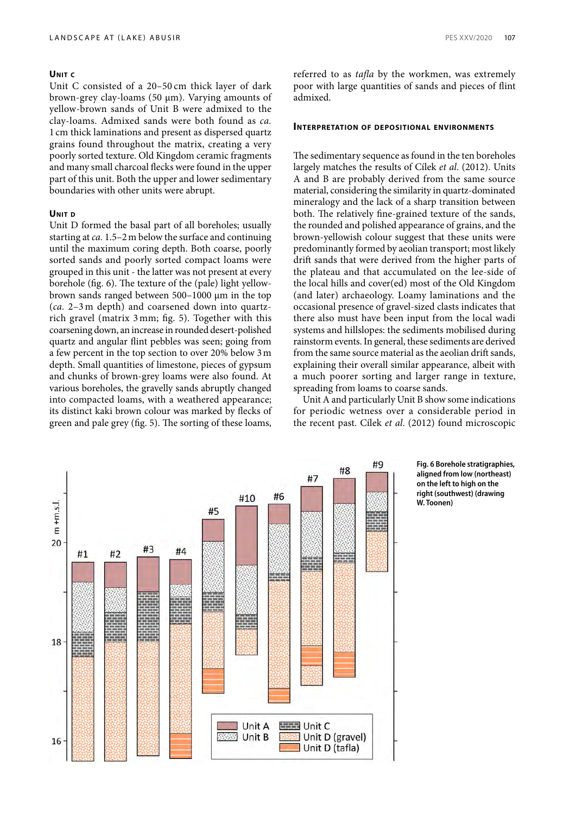# **Unit <sup>c</sup>**

Unit C consisted of a 20–50 cm thick layer of dark brown-grey clay-loams (50 μm). Varying amounts of yellow-brown sands of Unit B were admixed to the clay-loams. Admixed sands were both found as *ca.* 1 cm thick laminations and present as dispersed quartz grains found throughout the matrix, creating a very poorly sorted texture. Old Kingdom ceramic fragments and many small charcoal flecks were found in the upper part of this unit. Both the upper and lower sedimentary boundaries with other units were abrupt.

#### **Unit <sup>d</sup>**

Unit D formed the basal part of all boreholes; usually starting at *ca.* 1.5–2m below the surface and continuing until the maximum coring depth. Both coarse, poorly sorted sands and poorly sorted compact loams were grouped in this unit - the latter was not present at every borehole (fig. 6). The texture of the (pale) light yellowbrown sands ranged between 500–1000 μm in the top (*ca.* 2–3 m depth) and coarsened down into quartzrich gravel (matrix 3 mm; fig. 5). Together with this coarsening down, an increase in rounded desert-polished quartz and angular flint pebbles was seen; going from a few percent in the top section to over 20% below 3m depth. Small quantities of limestone, pieces of gypsum and chunks of brown-grey loams were also found. At various boreholes, the gravelly sands abruptly changed into compacted loams, with a weathered appearance; its distinct kaki brown colour was marked by flecks of green and pale grey (fig. 5). The sorting of these loams,

referred to as *tafla* by the workmen, was extremely poor with large quantities of sands and pieces of flint admixed.

#### **Interpretation of depositional environments**

The sedimentary sequence as found in the ten boreholes largely matches the results of Cílek *et al*. (2012). Units A and B are probably derived from the same source material, considering the similarity in quartz-dominated mineralogy and the lack of a sharp transition between both. The relatively fine-grained texture of the sands, the rounded and polished appearance of grains, and the brown-yellowish colour suggest that these units were predominantly formed by aeolian transport; most likely drift sands that were derived from the higher parts of the plateau and that accumulated on the lee-side of the local hills and cover(ed) most of the Old Kingdom (and later) archaeology. Loamy laminations and the occasional presence of gravel-sized clasts indicates that there also must have been input from the local wadi systems and hillslopes: the sediments mobilised during rainstorm events. In general, these sediments are derived from the same source material as the aeolian drift sands, explaining their overall similar appearance, albeit with a much poorer sorting and larger range in texture, spreading from loams to coarse sands.

Unit A and particularly Unit B show some indications for periodic wetness over a considerable period in the recent past. Cílek *et al*. (2012) found microscopic



**Fig. 6 Borehole stratigraphies, aligned from low (northeast) on the left to high on the right (southwest) (drawing W. Toonen)**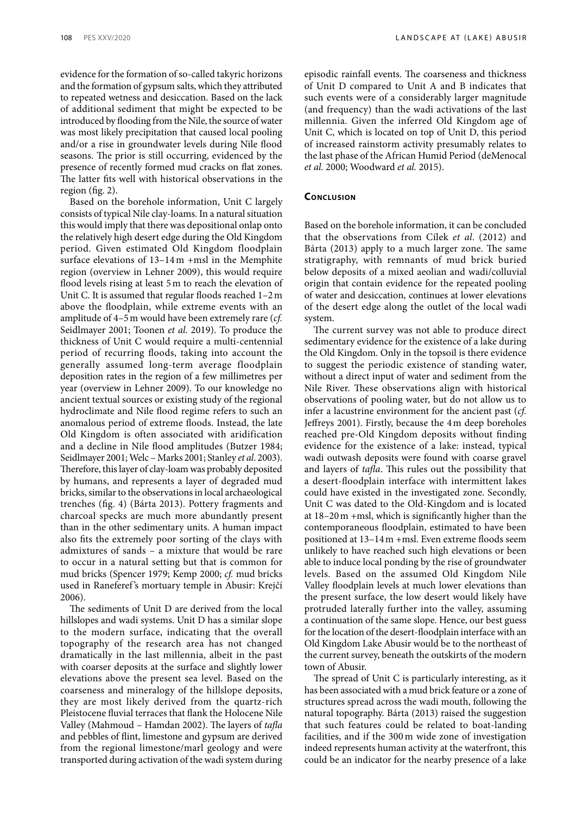evidence for the formation of so-called takyric horizons and the formation of gypsum salts, which they attributed to repeated wetness and desiccation. Based on the lack of additional sediment that might be expected to be introduced by flooding from the Nile, the source of water was most likely precipitation that caused local pooling

and/or a rise in groundwater levels during Nile flood seasons. The prior is still occurring, evidenced by the presence of recently formed mud cracks on flat zones. The latter fits well with historical observations in the region (fig. 2).

Based on the borehole information, Unit C largely consists of typical Nile clay-loams. In a natural situation this would imply that there was depositional onlap onto the relatively high desert edge during the Old Kingdom period. Given estimated Old Kingdom floodplain surface elevations of 13–14 m +msl in the Memphite region (overview in Lehner 2009), this would require flood levels rising at least 5m to reach the elevation of Unit C. It is assumed that regular floods reached 1–2m above the floodplain, while extreme events with an amplitude of 4–5m would have been extremely rare (*cf.* Seidlmayer 2001; Toonen *et al.* 2019). To produce the thickness of Unit C would require a multi-centennial period of recurring floods, taking into account the generally assumed long-term average floodplain deposition rates in the region of a few millimetres per year (overview in Lehner 2009). To our knowledge no ancient textual sources or existing study of the regional hydroclimate and Nile flood regime refers to such an anomalous period of extreme floods. Instead, the late Old Kingdom is often associated with aridification and a decline in Nile flood amplitudes (Butzer 1984; Seidlmayer 2001; Welc – Marks 2001; Stanley *et al*. 2003). Therefore, this layer of clay-loam was probably deposited by humans, and represents a layer of degraded mud bricks, similar to the observations in local archaeological trenches (fig. 4) (Bárta 2013). Pottery fragments and charcoal specks are much more abundantly present than in the other sedimentary units. A human impact also fits the extremely poor sorting of the clays with admixtures of sands – a mixture that would be rare to occur in a natural setting but that is common for mud bricks (Spencer 1979; Kemp 2000; *cf.* mud bricks used in Raneferef 's mortuary temple in Abusir: Krejčí 2006).

The sediments of Unit D are derived from the local hillslopes and wadi systems. Unit D has a similar slope to the modern surface, indicating that the overall topography of the research area has not changed dramatically in the last millennia, albeit in the past with coarser deposits at the surface and slightly lower elevations above the present sea level. Based on the coarseness and mineralogy of the hillslope deposits, they are most likely derived from the quartz-rich Pleistocene fluvial terraces that flank the Holocene Nile Valley (Mahmoud – Hamdan 2002). The layers of *tafla* and pebbles of flint, limestone and gypsum are derived from the regional limestone/marl geology and were transported during activation of the wadi system during episodic rainfall events. The coarseness and thickness of Unit D compared to Unit A and B indicates that such events were of a considerably larger magnitude (and frequency) than the wadi activations of the last millennia. Given the inferred Old Kingdom age of Unit C, which is located on top of Unit D, this period of increased rainstorm activity presumably relates to the last phase of the African Humid Period (deMenocal *et al.* 2000; Woodward *et al.* 2015).

# **Conclusion**

Based on the borehole information, it can be concluded that the observations from Cílek *et al*. (2012) and Bárta (2013) apply to a much larger zone. The same stratigraphy, with remnants of mud brick buried below deposits of a mixed aeolian and wadi/colluvial origin that contain evidence for the repeated pooling of water and desiccation, continues at lower elevations of the desert edge along the outlet of the local wadi system.

The current survey was not able to produce direct sedimentary evidence for the existence of a lake during the Old Kingdom. Only in the topsoil is there evidence to suggest the periodic existence of standing water, without a direct input of water and sediment from the Nile River. These observations align with historical observations of pooling water, but do not allow us to infer a lacustrine environment for the ancient past (*cf.* Jeffreys 2001). Firstly, because the 4m deep boreholes reached pre-Old Kingdom deposits without finding evidence for the existence of a lake: instead, typical wadi outwash deposits were found with coarse gravel and layers of *tafla*. This rules out the possibility that a desert-floodplain interface with intermittent lakes could have existed in the investigated zone. Secondly, Unit C was dated to the Old-Kingdom and is located at 18–20m +msl, which is significantly higher than the contemporaneous floodplain, estimated to have been positioned at 13–14m +msl. Even extreme floods seem unlikely to have reached such high elevations or been able to induce local ponding by the rise of groundwater levels. Based on the assumed Old Kingdom Nile Valley floodplain levels at much lower elevations than the present surface, the low desert would likely have protruded laterally further into the valley, assuming a continuation of the same slope. Hence, our best guess for the location of the desert-floodplain interface with an Old Kingdom Lake Abusir would be to the northeast of the current survey, beneath the outskirts of the modern town of Abusir.

The spread of Unit C is particularly interesting, as it has been associated with a mud brick feature or a zone of structures spread across the wadi mouth, following the natural topography. Bárta (2013) raised the suggestion that such features could be related to boat-landing facilities, and if the 300 m wide zone of investigation indeed represents human activity at the waterfront, this could be an indicator for the nearby presence of a lake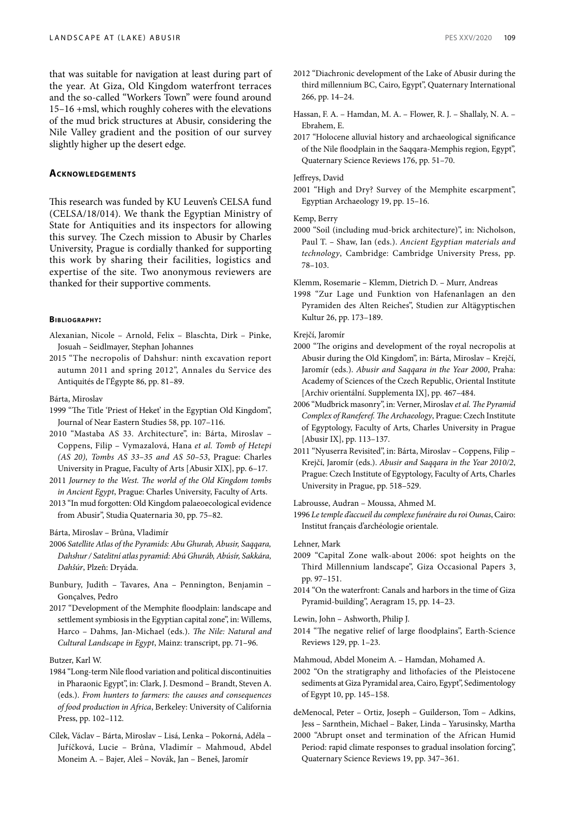that was suitable for navigation at least during part of the year. At Giza, Old Kingdom waterfront terraces and the so-called "Workers Town" were found around 15–16 +msl, which roughly coheres with the elevations of the mud brick structures at Abusir, considering the Nile Valley gradient and the position of our survey slightly higher up the desert edge.

## **Acknowledgements**

This research was funded by KU Leuven's CELSA fund (CELSA/18/014). We thank the Egyptian Ministry of State for Antiquities and its inspectors for allowing this survey. The Czech mission to Abusir by Charles University, Prague is cordially thanked for supporting this work by sharing their facilities, logistics and expertise of the site. Two anonymous reviewers are thanked for their supportive comments.

#### **Bibliogr aphy:**

- Alexanian, Nicole Arnold, Felix Blaschta, Dirk Pinke, Josuah – Seidlmayer, Stephan Johannes
- 2015 "The necropolis of Dahshur: ninth excavation report autumn 2011 and spring 2012", Annales du Service des Antiquités de l'Égypte 86, pp. 81–89.

Bárta, Miroslav

- 1999 "The Title 'Priest of Heket' in the Egyptian Old Kingdom", Journal of Near Eastern Studies 58, pp. 107–116.
- 2010 "Mastaba AS 33. Architecture", in: Bárta, Miroslav Coppens, Filip – Vymazalová, Hana *et al. Tomb of Hetepi (AS 20), Tombs AS 33–35 and AS 50–53*, Prague: Charles University in Prague, Faculty of Arts [Abusir XIX], pp. 6–17.
- 2011 *Journey to the West. The world of the Old Kingdom tombs in Ancient Egypt*, Prague: Charles University, Faculty of Arts.
- 2013 "In mud forgotten: Old Kingdom palaeoecological evidence from Abusir", Studia Quaternaria 30, pp. 75–82.

Bárta, Miroslav – Brůna, Vladimír

- 2006 *Satellite Atlas of the Pyramids: Abu Ghurab, Abusir, Saqqara, Dahshur / Satelitní atlas pyramid: Abú Ghuráb, Abúsír, Sakkára, Dahšúr*, Plzeň: Dryáda.
- Bunbury, Judith Tavares, Ana Pennington, Benjamin Gonçalves, Pedro
- 2017 "Development of the Memphite floodplain: landscape and settlement symbiosis in the Egyptian capital zone", in: Willems, Harco – Dahms, Jan-Michael (eds.). *The Nile: Natural and Cultural Landscape in Egypt*, Mainz: transcript, pp. 71–96.

# Butzer, Karl W.

- 1984 "Long-term Nile flood variation and political discontinuities in Pharaonic Egypt", in: Clark, J. Desmond – Brandt, Steven A. (eds.). *From hunters to farmers: the causes and consequences of food production in Africa*, Berkeley: University of California Press, pp. 102–112.
- Cílek, Václav Bárta, Miroslav Lisá, Lenka Pokorná, Adéla Juříčková, Lucie – Brůna, Vladimír – Mahmoud, Abdel Moneim A. – Bajer, Aleš – Novák, Jan – Beneš, Jaromír
- 2012 "Diachronic development of the Lake of Abusir during the third millennium BC, Cairo, Egypt", Quaternary International 266, pp. 14–24.
- Hassan, F. A. Hamdan, M. A. Flower, R. J. Shallaly, N. A. Ebrahem, E.
- 2017 "Holocene alluvial history and archaeological significance of the Nile floodplain in the Saqqara-Memphis region, Egypt", Quaternary Science Reviews 176, pp. 51–70.

#### Jeffreys, David

2001 "High and Dry? Survey of the Memphite escarpment", Egyptian Archaeology 19, pp. 15–16.

Kemp, Berry

2000 "Soil (including mud-brick architecture)", in: Nicholson, Paul T. – Shaw, Ian (eds.). *Ancient Egyptian materials and technology*, Cambridge: Cambridge University Press, pp. 78–103.

Klemm, Rosemarie – Klemm, Dietrich D. – Murr, Andreas

1998 "Zur Lage und Funktion von Hafenanlagen an den Pyramiden des Alten Reiches", Studien zur Altägyptischen Kultur 26, pp. 173–189.

Krejčí, Jaromír

- 2000 "The origins and development of the royal necropolis at Abusir during the Old Kingdom", in: Bárta, Miroslav – Krejčí, Jaromír (eds.). *Abusir and Saqqara in the Year 2000*, Praha: Academy of Sciences of the Czech Republic, Oriental Institute [Archiv orientální. Supplementa IX], pp. 467–484.
- 2006 "Mudbrick masonry", in: Verner, Miroslav *et al. The Pyramid Complex of Raneferef. The Archaeology*, Prague: Czech Institute of Egyptology, Faculty of Arts, Charles University in Prague [Abusir IX], pp. 113–137.
- 2011 "Nyuserra Revisited", in: Bárta, Miroslav Coppens, Filip Krejčí, Jaromír (eds.). *Abusir and Saqqara in the Year 2010/2*, Prague: Czech Institute of Egyptology, Faculty of Arts, Charles University in Prague, pp. 518–529.

Labrousse, Audran – Moussa, Ahmed M.

- 1996 *Le temple d'accueil du complexe funéraire du roi Ounas*, Cairo: Institut français d'archéologie orientale.
- Lehner, Mark
- 2009 "Capital Zone walk-about 2006: spot heights on the Third Millennium landscape", Giza Occasional Papers 3, pp. 97–151.
- 2014 "On the waterfront: Canals and harbors in the time of Giza Pyramid-building", Aeragram 15, pp. 14–23.

Lewin, John – Ashworth, Philip J.

Mahmoud, Abdel Moneim A. – Hamdan, Mohamed A.

2002 "On the stratigraphy and lithofacies of the Pleistocene sediments at Giza Pyramidal area, Cairo, Egypt", Sedimentology of Egypt 10, pp. 145–158.

- deMenocal, Peter Ortiz, Joseph Guilderson, Tom Adkins, Jess – Sarnthein, Michael – Baker, Linda – Yarusinsky, Martha
- 2000 "Abrupt onset and termination of the African Humid Period: rapid climate responses to gradual insolation forcing", Quaternary Science Reviews 19, pp. 347–361.

<sup>2014 &</sup>quot;The negative relief of large floodplains", Earth-Science Reviews 129, pp. 1–23.